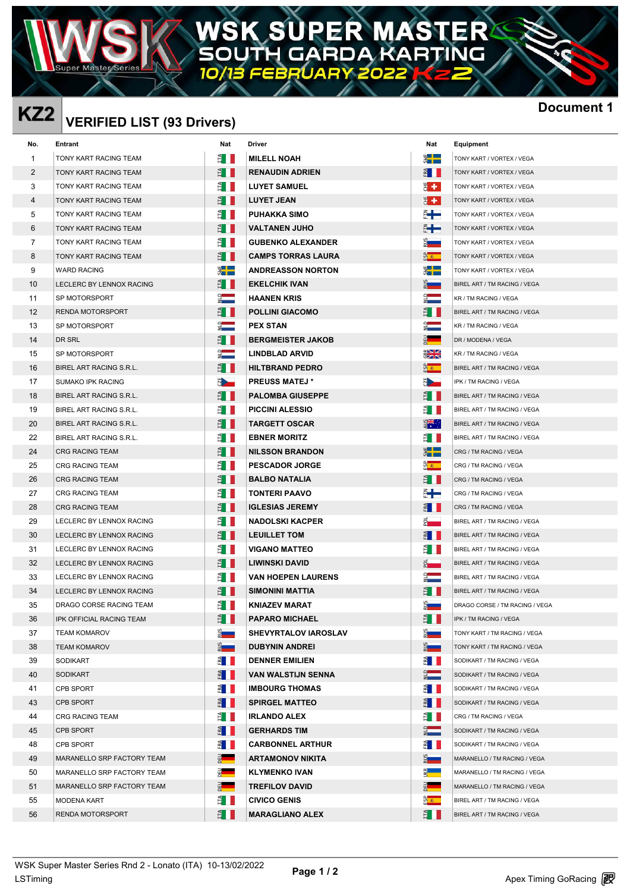#### R Δ W DA G г

# **KZ2 Document 1 VERIFIED LIST (93 Drivers)**

W

|                   | KZ2 VERIFIED LIST (93 Drivers) |               |                           |                    | <b>Docun</b>                   |
|-------------------|--------------------------------|---------------|---------------------------|--------------------|--------------------------------|
| No.               | Entrant                        | Nat           | Driver                    | Nat                | Equipment                      |
| 1                 | TONY KART RACING TEAM          | ÊH            | <b>MILELL NOAH</b>        | $\frac{1}{2}$      | TONY KART / VORTEX / VEGA      |
| 2                 | TONY KART RACING TEAM          | Ê II          | <b>RENAUDIN ADRIEN</b>    | $\frac{3}{2}$ 1    | TONY KART / VORTEX / VEGA      |
| 3                 | TONY KART RACING TEAM          | Ê I           | <b>LUYET SAMUEL</b>       | ₹ ←                | TONY KART / VORTEX / VEGA      |
| 4                 | TONY KART RACING TEAM          | ÊII           | <b>LUYET JEAN</b>         | 방송.                | TONY KART / VORTEX / VEGA      |
| 5                 | TONY KART RACING TEAM          | Ê II          | <b>PUHAKKA SIMO</b>       | €╄                 | TONY KART / VORTEX / VEGA      |
| 6                 | TONY KART RACING TEAM          | È II          | <b>VALTANEN JUHO</b>      | ╣╄                 | TONY KART / VORTEX / VEGA      |
| 7                 | TONY KART RACING TEAM          | Ê I II        | <b>GUBENKO ALEXANDER</b>  | <u>ី ក</u>         | TONY KART / VORTEX / VEGA      |
| 8                 | TONY KART RACING TEAM          | Ê I II        | <b>CAMPS TORRAS LAURA</b> | $\frac{a}{b}$      | TONY KART / VORTEX / VEGA      |
| 9                 | <b>WARD RACING</b>             | ▓▐▆           | <b>ANDREASSON NORTON</b>  | ▓▐█                | TONY KART / VORTEX / VEGA      |
| 10                | LECLERC BY LENNOX RACING       | Ê III         | <b>EKELCHIK IVAN</b>      | 2 <sub>m</sub>     | BIREL ART / TM RACING / VEGA   |
| 11                | SP MOTORSPORT                  | E ST          | <b>HAANEN KRIS</b>        | $\frac{1}{2}$      | KR / TM RACING / VEGA          |
| $12 \overline{ }$ | RENDA MOTORSPORT               | Ê I           | <b>POLLINI GIACOMO</b>    | É I                | BIREL ART / TM RACING / VEGA   |
| 13                | SP MOTORSPORT                  | $\frac{1}{2}$ | <b>PEX STAN</b>           | $\frac{1}{2}$      | KR / TM RACING / VEGA          |
| 14                | DR SRL                         | Ê III         | <b>BERGMEISTER JAKOB</b>  | $\frac{1}{2}$      | DR / MODENA / VEGA             |
| 15                | SP MOTORSPORT                  | $\frac{1}{2}$ | <b>LINDBLAD ARVID</b>     | $\frac{1}{2}$      | KR / TM RACING / VEGA          |
| 16                | BIREL ART RACING S.R.L.        | Ê II          | <b>HILTBRAND PEDRO</b>    | ကို $\ast$         | BIREL ART / TM RACING / VEGA   |
| 17                | <b>SUMAKO IPK RACING</b>       |               | <b>PREUSS MATEJ*</b>      | Ö <b>re</b>        | IPK / TM RACING / VEGA         |
| 18                | BIREL ART RACING S.R.L.        | È II          | <b>PALOMBA GIUSEPPE</b>   | Ê II               | BIREL ART / TM RACING / VEGA   |
| 19                | BIREL ART RACING S.R.L.        | Ê I I         | <b>PICCINI ALESSIO</b>    | È III              | BIREL ART / TM RACING / VEGA   |
| 20                | BIREL ART RACING S.R.L.        | Ê I II        | <b>TARGETT OSCAR</b>      | $\frac{1}{2}$      | BIREL ART / TM RACING / VEGA   |
| 22                | BIREL ART RACING S.R.L.        | È II          | <b>EBNER MORITZ</b>       | Ê L                | BIREL ART / TM RACING / VEGA   |
| 24                | <b>CRG RACING TEAM</b>         | È II          | <b>NILSSON BRANDON</b>    | $\frac{1}{2}$      | CRG / TM RACING / VEGA         |
| 25                | CRG RACING TEAM                | ÊII           | <b>PESCADOR JORGE</b>     | <u>ଜି∗</u>         | CRG / TM RACING / VEGA         |
| 26                | <b>CRG RACING TEAM</b>         | È I           | <b>BALBO NATALIA</b>      | É I                | CRG / TM RACING / VEGA         |
| 27                | CRG RACING TEAM                | Ê II          | TONTERI PAAVO             | ╣╋                 | CRG / TM RACING / VEGA         |
| 28                | <b>CRG RACING TEAM</b>         | È II          | <b>IGLESIAS JEREMY</b>    | E II               | CRG / TM RACING / VEGA         |
| 29                | LECLERC BY LENNOX RACING       | È III         | <b>NADOLSKI KACPER</b>    | $\frac{1}{2}$      | BIREL ART / TM RACING / VEGA   |
| 30                | LECLERC BY LENNOX RACING       | È II          | <b>LEUILLET TOM</b>       | $rac{d}{dt}$       | BIREL ART / TM RACING / VEGA   |
| 31                | LECLERC BY LENNOX RACING       | È I           | <b>VIGANO MATTEO</b>      | È II               | BIREL ART / TM RACING / VEGA   |
| 32                | LECLERC BY LENNOX RACING       | É II          | <b>LIWINSKI DAVID</b>     | $\bar{\mathbf{z}}$ | BIREL ART / TM RACING / VEGA   |
| 33                | LECLERC BY LENNOX RACING       | É I           | <b>VAN HOEPEN LAURENS</b> | $\frac{1}{2}$      | BIREL ART / TM RACING / VEGA   |
| 34                | LECLERC BY LENNOX RACING       | E I           | <b>SIMONINI MATTIA</b>    | Ê II               | BIREL ART / TM RACING / VEGA   |
| 35                | DRAGO CORSE RACING TEAM        | Ê II          | <b>KNIAZEV MARAT</b>      | Ž <b>ema</b>       | DRAGO CORSE / TM RACING / VEGA |
| 36                | IPK OFFICIAL RACING TEAM       | Ê II          | <b>PAPARO MICHAEL</b>     | É I                | IPK / TM RACING / VEGA         |
| 37                | <b>TEAM KOMAROV</b>            | <u>ू</u><br>न | SHEVYRTALOV IAROSLAV      | $\frac{5}{2}$      | TONY KART / TM RACING / VEGA   |
| 38                | <b>TEAM KOMAROV</b>            | $\frac{3}{2}$ | <b>DUBYNIN ANDREI</b>     | $rac{1}{2}$        | TONY KART / TM RACING / VEGA   |
| 39                | <b>SODIKART</b>                | E             | <b>DENNER EMILIEN</b>     | $\frac{3}{2}$      | SODIKART / TM RACING / VEGA    |
| 40                | <b>SODIKART</b>                | $rac{3}{2}$   | <b>VAN WALSTIJN SENNA</b> | $\frac{1}{2}$      | SODIKART / TM RACING / VEGA    |
| 41                | CPB SPORT                      | $rac{d}{dt}$  | <b>IMBOURG THOMAS</b>     | $\frac{3}{2}$      | SODIKART / TM RACING / VEGA    |
| 43                | <b>CPB SPORT</b>               | $\frac{3}{2}$ | <b>SPIRGEL MATTEO</b>     | $rac{a}{b}$        | SODIKART / TM RACING / VEGA    |
| 44                | CRG RACING TEAM                | Ê I II        | <b>IRLANDO ALEX</b>       | Ê II               | CRG / TM RACING / VEGA         |
| 45                | <b>CPB SPORT</b>               | E             | <b>GERHARDS TIM</b>       | $rac{1}{z}$        | SODIKART / TM RACING / VEGA    |
| 48                | CPB SPORT                      | E             | <b>CARBONNEL ARTHUR</b>   | $\frac{3}{2}$      | SODIKART / TM RACING / VEGA    |
| 49                | MARANELLO SRP FACTORY TEAM     | $rac{1}{2}$   | <b>ARTAMONOV NIKITA</b>   | $rac{1}{2}$        | MARANELLO / TM RACING / VEGA   |
| 50                | MARANELLO SRP FACTORY TEAM     | $rac{1}{2}$   | <b>KLYMENKO IVAN</b>      | $K_{\rm R}$        | MARANELLO / TM RACING / VEGA   |
| 51                | MARANELLO SRP FACTORY TEAM     | $\frac{1}{2}$ | <b>TREFILOV DAVID</b>     | E SHIP             | MARANELLO / TM RACING / VEGA   |
| 55                | MODENA KART                    | È II          | <b>CIVICO GENIS</b>       | ကိုးကား            | BIREL ART / TM RACING / VEGA   |
| 56                | RENDA MOTORSPORT               | Ê II          | <b>MARAGLIANO ALEX</b>    | Ê II               | BIREL ART / TM RACING / VEGA   |
|                   |                                |               |                           |                    |                                |

| t                        | <b>Equipment</b>                    |
|--------------------------|-------------------------------------|
|                          | TONY KART / VORTEX / VEGA           |
|                          | TONY KART / VORTEX / VEGA           |
| f,                       | TONY KART / VORTEX / VEGA           |
| í.                       | TONY KART / VORTEX / VEGA           |
| ł                        | TONY KART / VORTEX / VEGA           |
| t                        | TONY KART / VORTEX / VEGA           |
|                          | TONY KART / VORTEX / VEGA           |
| İ                        | TONY KART / VORTEX / VEGA           |
| E.                       | TONY KART / VORTEX / VEGA           |
|                          | BIREL ART / TM RACING / VEGA        |
| İ                        | KR / TM RACING / VEGA               |
| $\overline{\phantom{a}}$ | BIREL ART / TM RACING / VEGA        |
| ī                        | KR / TM RACING / VEGA               |
| l                        | DR / MODENA / VEGA                  |
| $\breve{\phantom{a}}$    | KR / TM RACING / VEGA               |
| ī                        | BIREL ART / TM RACING / VEGA        |
| ī                        | IPK / TM RACING / VEGA              |
| $\overline{\phantom{a}}$ | BIREL ART / TM RACING / VEGA        |
| I                        | BIREL ART / TM RACING / VEGA        |
| Ŷ                        | BIREL ART / TM RACING / VEGA        |
| L                        | BIREL ART / TM RACING / VEGA        |
| i<br>1                   | CRG / TM RACING / VEGA              |
| ī                        | CRG / TM RACING / VEGA              |
| Г                        | CRG / TM RACING / VEGA              |
| ī                        | CRG / TM RACING / VEGA              |
|                          | CRG / TM RACING / VEGA              |
|                          | BIREL ART / TM RACING / VEGA        |
| I                        | BIREL ART / TM RACING / VEGA        |
| l.                       | BIREL ART / TM RACING / VEGA        |
| $\overline{a}$           | BIREL ART / TM RACING / VEGA        |
|                          | BIREL ART / TM RACING / VEGA        |
| L                        | BIREL ART / TM RACING / VEGA        |
| ś                        | DRAGO CORSE / TM RACING / VEGA      |
|                          | IPK / TM RACING / VEGA              |
|                          | TONY KART / TM RACING / VEGA        |
|                          | TONY KART / TM RACING / VEGA        |
| $\overline{a}$           | SODIKART / TM RACING / VEGA         |
|                          | SODIKART / TM RACING / VEGA         |
|                          | SODIKART / TM RACING / VEGA         |
|                          | SODIKART / TM RACING / VEGA         |
|                          | CRG / TM RACING / VEGA              |
|                          | SODIKART / TM RACING / VEGA         |
|                          | SODIKART / TM RACING / VEGA         |
|                          | MARANELLO / TM RACING / VEGA        |
|                          | MARANELLO / TM RACING / VEGA        |
|                          | MARANELLO / TM RACING / VEGA        |
|                          | BIREL ART / TM RACING / VEGA        |
|                          | <b>BIREL ART / TM RACING / VEGA</b> |